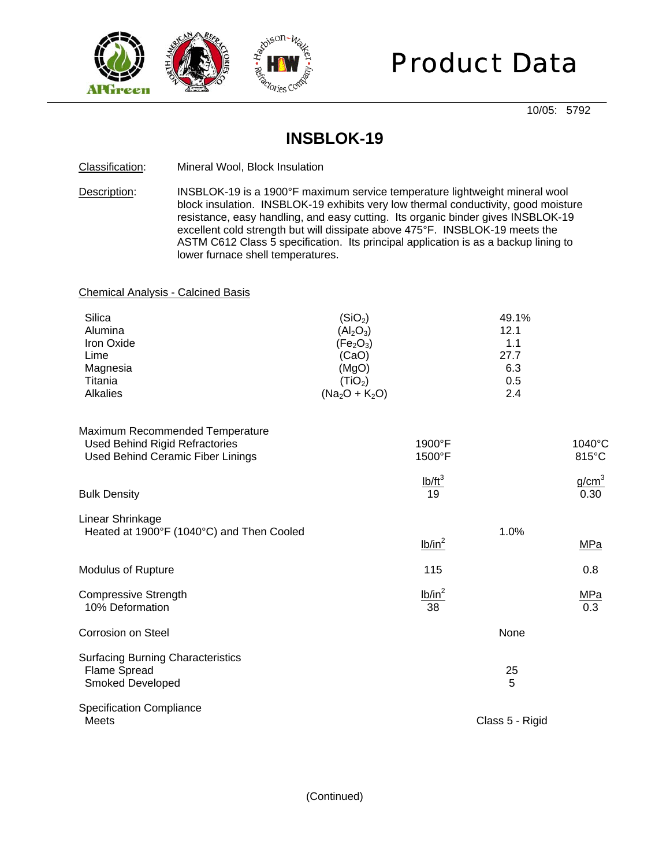

# Product Data

10/05: 5792

### **INSBLOK-19**

#### Classification: Mineral Wool, Block Insulation

Description: INSBLOK-19 is a 1900°F maximum service temperature lightweight mineral wool block insulation. INSBLOK-19 exhibits very low thermal conductivity, good moisture resistance, easy handling, and easy cutting. Its organic binder gives INSBLOK-19 excellent cold strength but will dissipate above 475°F. INSBLOK-19 meets the ASTM C612 Class 5 specification. Its principal application is as a backup lining to lower furnace shell temperatures.

#### Chemical Analysis - Calcined Basis

| Silica          | (SiO <sub>2</sub> )               | 49.1% |
|-----------------|-----------------------------------|-------|
| Alumina         | (Al <sub>2</sub> O <sub>3</sub> ) | 12.1  |
| Iron Oxide      | (Fe <sub>2</sub> O <sub>3</sub> ) | 1.1   |
| Lime            | (CaO)                             | 27.7  |
| Magnesia        | (MgO)                             | 6.3   |
| Titania         | (TiO <sub>2</sub> )               | 0.5   |
| <b>Alkalies</b> | $(Na_2O + K_2O)$                  | 2.4   |

| Maximum Recommended Temperature<br><b>Used Behind Rigid Refractories</b><br>Used Behind Ceramic Fiber Linings | $1900^{\circ}$ F<br>$1500^{\circ}$ F | $1040^{\circ}$ C<br>$815^{\circ}$ C |
|---------------------------------------------------------------------------------------------------------------|--------------------------------------|-------------------------------------|
| <b>Bulk Density</b>                                                                                           | $I\cdot b/ft^3$<br>19                | g/cm <sup>3</sup><br>0.30           |
| Linear Shrinkage<br>Heated at 1900°F (1040°C) and Then Cooled                                                 | lb/in <sup>2</sup>                   | 1.0%<br>MPa                         |

| <b>Modulus of Rupture</b>   | 115       | 0.8              |
|-----------------------------|-----------|------------------|
| <b>Compressive Strength</b> | $lb/in^2$ | MPa              |
| 10% Deformation             | 38        | 0.3 <sub>2</sub> |

| <b>Corrosion on Steel</b>                                                           | None            |
|-------------------------------------------------------------------------------------|-----------------|
| <b>Surfacing Burning Characteristics</b><br>Flame Spread<br><b>Smoked Developed</b> | 25<br>5         |
| <b>Specification Compliance</b><br><b>Meets</b>                                     | Class 5 - Rigid |